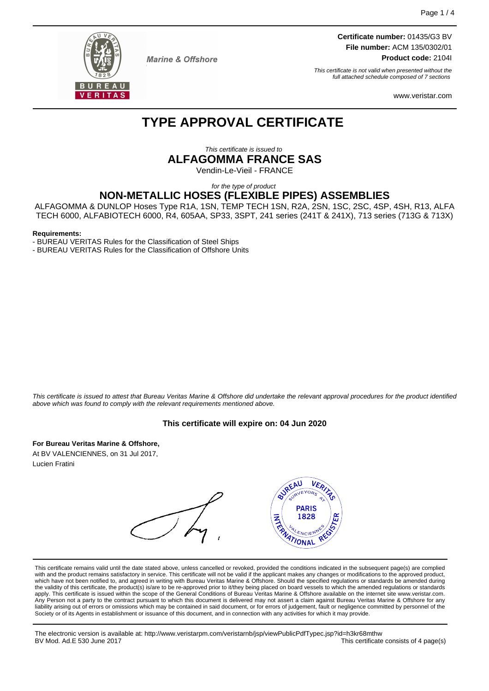

**Marine & Offshore** 

**Certificate number:** 01435/G3 BV **File number:** ACM 135/0302/01 **Product code:** 2104I

This certificate is not valid when presented without the full attached schedule composed of 7 sections

www.veristar.com

# **TYPE APPROVAL CERTIFICATE**

This certificate is issued to

**ALFAGOMMA FRANCE SAS**

Vendin-Le-Vieil - FRANCE

for the type of product

# **NON-METALLIC HOSES (FLEXIBLE PIPES) ASSEMBLIES**

ALFAGOMMA & DUNLOP Hoses Type R1A, 1SN, TEMP TECH 1SN, R2A, 2SN, 1SC, 2SC, 4SP, 4SH, R13, ALFA TECH 6000, ALFABIOTECH 6000, R4, 605AA, SP33, 3SPT, 241 series (241T & 241X), 713 series (713G & 713X)

#### **Requirements:**

- BUREAU VERITAS Rules for the Classification of Steel Ships

- BUREAU VERITAS Rules for the Classification of Offshore Units

This certificate is issued to attest that Bureau Veritas Marine & Offshore did undertake the relevant approval procedures for the product identified above which was found to comply with the relevant requirements mentioned above.

### **This certificate will expire on: 04 Jun 2020**

**For Bureau Veritas Marine & Offshore,**

At BV VALENCIENNES, on 31 Jul 2017, Lucien Fratini

**BUREAU** VER **PARIS AND** 1828 ATIONAL

This certificate remains valid until the date stated above, unless cancelled or revoked, provided the conditions indicated in the subsequent page(s) are complied with and the product remains satisfactory in service. This certificate will not be valid if the applicant makes any changes or modifications to the approved product, which have not been notified to, and agreed in writing with Bureau Veritas Marine & Offshore. Should the specified regulations or standards be amended during<br>the validity of this certificate, the product(s) is/are to be re apply. This certificate is issued within the scope of the General Conditions of Bureau Veritas Marine & Offshore available on the internet site www.veristar.com. Any Person not a party to the contract pursuant to which this document is delivered may not assert a claim against Bureau Veritas Marine & Offshore for any liability arising out of errors or omissions which may be contained in said document, or for errors of judgement, fault or negligence committed by personnel of the<br>Society or of its Agents in establishment or issuance of t

The electronic version is available at: http://www.veristarpm.com/veristarnb/jsp/viewPublicPdfTypec.jsp?id=h3kr68mthw This certificate consists of 4 page(s)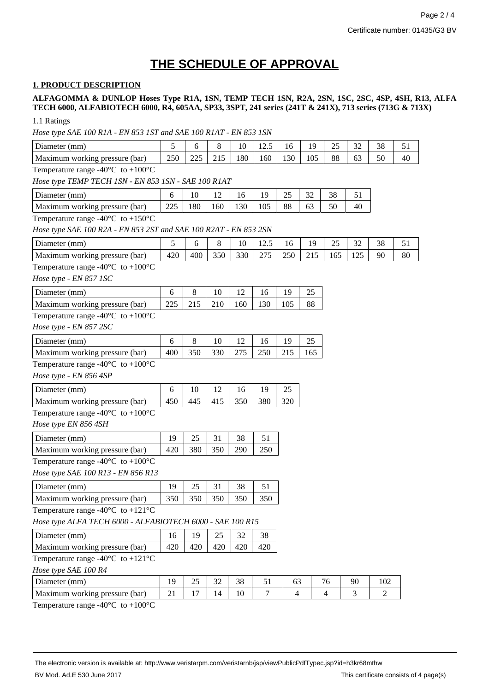# **THE SCHEDULE OF APPROVAL**

# **1. PRODUCT DESCRIPTION**

**ALFAGOMMA & DUNLOP Hoses Type R1A, 1SN, TEMP TECH 1SN, R2A, 2SN, 1SC, 2SC, 4SP, 4SH, R13, ALFA TECH 6000, ALFABIOTECH 6000, R4, 605AA, SP33, 3SPT, 241 series (241T & 241X), 713 series (713G & 713X)**

1.1 Ratings

*Hose type SAE 100 R1A - EN 853 1ST and SAE 100 R1AT - EN 853 1SN*

| Diameter (mm)                                                                     | 5   | 6   | 8   | 10  | 12.5 | 16             | 19  | 25             | 32  | 38  | 51 |
|-----------------------------------------------------------------------------------|-----|-----|-----|-----|------|----------------|-----|----------------|-----|-----|----|
| Maximum working pressure (bar)                                                    | 250 | 225 | 215 | 180 | 160  | 130            | 105 | 88             | 63  | 50  | 40 |
| Temperature range -40 $^{\circ}$ C to +100 $^{\circ}$ C                           |     |     |     |     |      |                |     |                |     |     |    |
| Hose type TEMP TECH 1SN - EN 853 1SN - SAE 100 R1AT                               |     |     |     |     |      |                |     |                |     |     |    |
| Diameter (mm)                                                                     | 6   | 10  | 12  | 16  | 19   | 25             | 32  | 38             | 51  |     |    |
| Maximum working pressure (bar)                                                    | 225 | 180 | 160 | 130 | 105  | 88             | 63  | 50             | 40  |     |    |
| Temperature range -40 $^{\circ}$ C to +150 $^{\circ}$ C                           |     |     |     |     |      |                |     |                |     |     |    |
| Hose type SAE 100 R2A - EN 853 2ST and SAE 100 R2AT - EN 853 2SN                  |     |     |     |     |      |                |     |                |     |     |    |
| Diameter (mm)                                                                     | 5   | 6   | 8   | 10  | 12.5 | 16             | 19  | 25             | 32  | 38  | 51 |
| Maximum working pressure (bar)                                                    | 420 | 400 | 350 | 330 | 275  | 250            | 215 | 165            | 125 | 90  | 80 |
| Temperature range -40 $^{\circ}$ C to +100 $^{\circ}$ C<br>Hose type - EN 857 1SC |     |     |     |     |      |                |     |                |     |     |    |
| Diameter (mm)                                                                     | 6   | 8   | 10  | 12  | 16   | 19             | 25  |                |     |     |    |
| Maximum working pressure (bar)                                                    | 225 | 215 | 210 | 160 | 130  | 105            | 88  |                |     |     |    |
| Temperature range -40 $^{\circ}$ C to +100 $^{\circ}$ C                           |     |     |     |     |      |                |     |                |     |     |    |
| Hose type - EN 857 2SC                                                            |     |     |     |     |      |                |     |                |     |     |    |
| Diameter (mm)                                                                     | 6   | 8   | 10  | 12  | 16   | 19             | 25  |                |     |     |    |
| Maximum working pressure (bar)                                                    | 400 | 350 | 330 | 275 | 250  | 215            | 165 |                |     |     |    |
| Temperature range -40 $^{\circ}$ C to +100 $^{\circ}$ C                           |     |     |     |     |      |                |     |                |     |     |    |
| Hose type - EN 856 4SP                                                            |     |     |     |     |      |                |     |                |     |     |    |
| Diameter (mm)                                                                     | 6   | 10  | 12  | 16  | 19   | 25             |     |                |     |     |    |
| Maximum working pressure (bar)                                                    | 450 | 445 | 415 | 350 | 380  | 320            |     |                |     |     |    |
| Temperature range -40 $^{\circ}$ C to +100 $^{\circ}$ C                           |     |     |     |     |      |                |     |                |     |     |    |
| Hose type EN 856 4SH                                                              |     |     |     |     |      |                |     |                |     |     |    |
| Diameter (mm)                                                                     | 19  | 25  | 31  | 38  | 51   |                |     |                |     |     |    |
| Maximum working pressure (bar)                                                    |     | 380 | 350 | 290 | 250  |                |     |                |     |     |    |
| Temperature range -40 $^{\circ}$ C to +100 $^{\circ}$ C                           |     |     |     |     |      |                |     |                |     |     |    |
| Hose type SAE 100 R13 - EN 856 R13                                                |     |     |     |     |      |                |     |                |     |     |    |
| Diameter (mm)                                                                     | 19  | 25  | 31  | 38  | 51   |                |     |                |     |     |    |
| Maximum working pressure (bar)                                                    | 350 | 350 | 350 | 350 | 350  |                |     |                |     |     |    |
| Temperature range -40 $^{\circ}$ C to +121 $^{\circ}$ C                           |     |     |     |     |      |                |     |                |     |     |    |
| Hose type ALFA TECH 6000 - ALFABIOTECH 6000 - SAE 100 R15                         |     |     |     |     |      |                |     |                |     |     |    |
| Diameter (mm)                                                                     | 16  | 19  | 25  | 32  | 38   |                |     |                |     |     |    |
| Maximum working pressure (bar)                                                    | 420 | 420 | 420 | 420 | 420  |                |     |                |     |     |    |
| Temperature range -40 $^{\circ}$ C to +121 $^{\circ}$ C                           |     |     |     |     |      |                |     |                |     |     |    |
| Hose type SAE 100 R4                                                              |     |     |     |     |      |                |     |                |     |     |    |
| Diameter (mm)                                                                     | 19  | 25  | 32  | 38  | 51   | 63             |     | 76             | 90  | 102 |    |
| Maximum working pressure (bar)                                                    | 21  | 17  | 14  | 10  | 7    | $\overline{4}$ |     | $\overline{4}$ | 3   | 2   |    |
| 1000 <sub>C</sub>                                                                 |     |     |     |     |      |                |     |                |     |     |    |

Temperature range -40 $^{\circ}$ C to +100 $^{\circ}$ C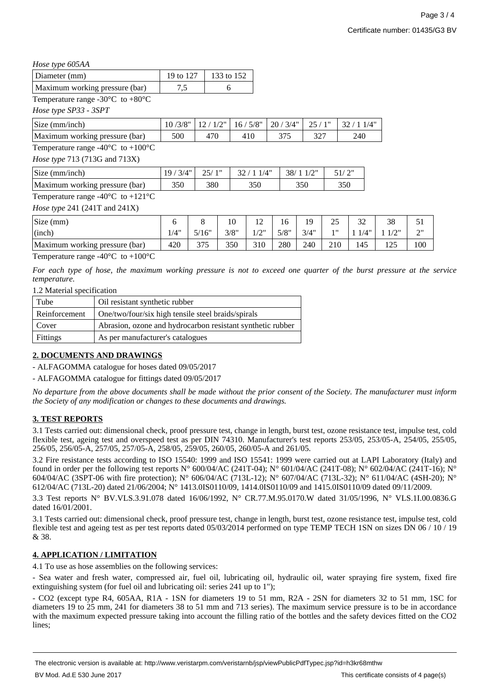## *Hose type 605AA*

| .                              |      |                        |
|--------------------------------|------|------------------------|
| Diameter (mm)                  |      | 19 to 127   133 to 152 |
| Maximum working pressure (bar) | ر. ا |                        |

Temperature range -30 $\mathrm{^{\circ}C}$  to +80 $\mathrm{^{\circ}C}$ 

*Hose type SP33 - 3SPT*

| Size (mm/inch)                 |     | 15/8"<br>16/ | 120/3/4" |     |     |
|--------------------------------|-----|--------------|----------|-----|-----|
| Maximum working pressure (bar) | 500 |              |          | ے ب | 240 |

Temperature range -40 $^{\circ}$ C to +100 $^{\circ}$ C

*Hose type* 713 (713G and 713X)

| Size (mm/inch)                       | $\mathcal{U}^{\prime\prime}$<br>$\Omega$ | າະ  |     |     |     |
|--------------------------------------|------------------------------------------|-----|-----|-----|-----|
| Maximum<br>working pressure<br>(bar) | 350                                      | 380 | 350 | 350 | 350 |

Temperature range -40 $^{\circ}$ C to +121 $^{\circ}$ C

*Hose type* 241 (241T and 241X)

| Size (mm)                      |      |       | 10   | 1 <sub>0</sub><br>$\overline{1}$ | 16   | 19   | 25  | $\mathcal{D}$<br>ے ر | 38                |                           |
|--------------------------------|------|-------|------|----------------------------------|------|------|-----|----------------------|-------------------|---------------------------|
| (inch)                         | 1/4" | 5/16" | 3/8" | 1011<br>1/L                      | 5/8" | 3/4" | 111 | 1/4"                 | 1011              | $\bigcap \mathbb{N}$<br>∸ |
| Maximum working pressure (bar) | 420  | 375   | 350  | 310                              | 280  | 240  | 210 | 145                  | $1 \cap F$<br>⊥∠J | 100                       |

Temperature range  $-40^{\circ}$ C to  $+100^{\circ}$ C

*For each type of hose, the maximum working pressure is not to exceed one quarter of the burst pressure at the service temperature.*

1.2 Material specification

| Tube          | Oil resistant synthetic rubber                             |
|---------------|------------------------------------------------------------|
| Reinforcement | One/two/four/six high tensile steel braids/spirals         |
| Cover         | Abrasion, ozone and hydrocarbon resistant synthetic rubber |
| Fittings      | As per manufacturer's catalogues                           |

# **2. DOCUMENTS AND DRAWINGS**

- ALFAGOMMA catalogue for hoses dated 09/05/2017

- ALFAGOMMA catalogue for fittings dated 09/05/2017

*No departure from the above documents shall be made without the prior consent of the Society. The manufacturer must inform the Society of any modification or changes to these documents and drawings.*

# **3. TEST REPORTS**

3.1 Tests carried out: dimensional check, proof pressure test, change in length, burst test, ozone resistance test, impulse test, cold flexible test, ageing test and overspeed test as per DIN 74310. Manufacturer's test reports 253/05, 253/05-A, 254/05, 255/05, 256/05, 256/05-A, 257/05, 257/05-A, 258/05, 259/05, 260/05, 260/05-A and 261/05.

3.2 Fire resistance tests according to ISO 15540: 1999 and ISO 15541: 1999 were carried out at LAPI Laboratory (Italy) and found in order per the following test reports N° 600/04/AC (241T-04); N° 601/04/AC (241T-08); N° 602/04/AC (241T-16); N° 604/04/AC (3SPT-06 with fire protection); N° 606/04/AC (713L-12); N° 607/04/AC (713L-32); N° 611/04/AC (4SH-20); N° 612/04/AC (713L-20) dated 21/06/2004; N° 1413.0IS0110/09, 1414.0IS0110/09 and 1415.0IS0110/09 dated 09/11/2009.

3.3 Test reports N° BV.VLS.3.91.078 dated 16/06/1992, N° CR.77.M.95.0170.W dated 31/05/1996, N° VLS.1I.00.0836.G dated 16/01/2001.

3.1 Tests carried out: dimensional check, proof pressure test, change in length, burst test, ozone resistance test, impulse test, cold flexible test and ageing test as per test reports dated 05/03/2014 performed on type TEMP TECH 1SN on sizes DN 06 / 10 / 19 & 38.

# **4. APPLICATION / LIMITATION**

4.1 To use as hose assemblies on the following services:

- Sea water and fresh water, compressed air, fuel oil, lubricating oil, hydraulic oil, water spraying fire system, fixed fire extinguishing system (for fuel oil and lubricating oil: series 241 up to 1");

- CO2 (except type R4, 605AA, R1A - 1SN for diameters 19 to 51 mm, R2A - 2SN for diameters 32 to 51 mm, 1SC for diameters 19 to 25 mm, 241 for diameters 38 to 51 mm and 713 series). The maximum service pressure is to be in accordance with the maximum expected pressure taking into account the filling ratio of the bottles and the safety devices fitted on the CO2 lines;